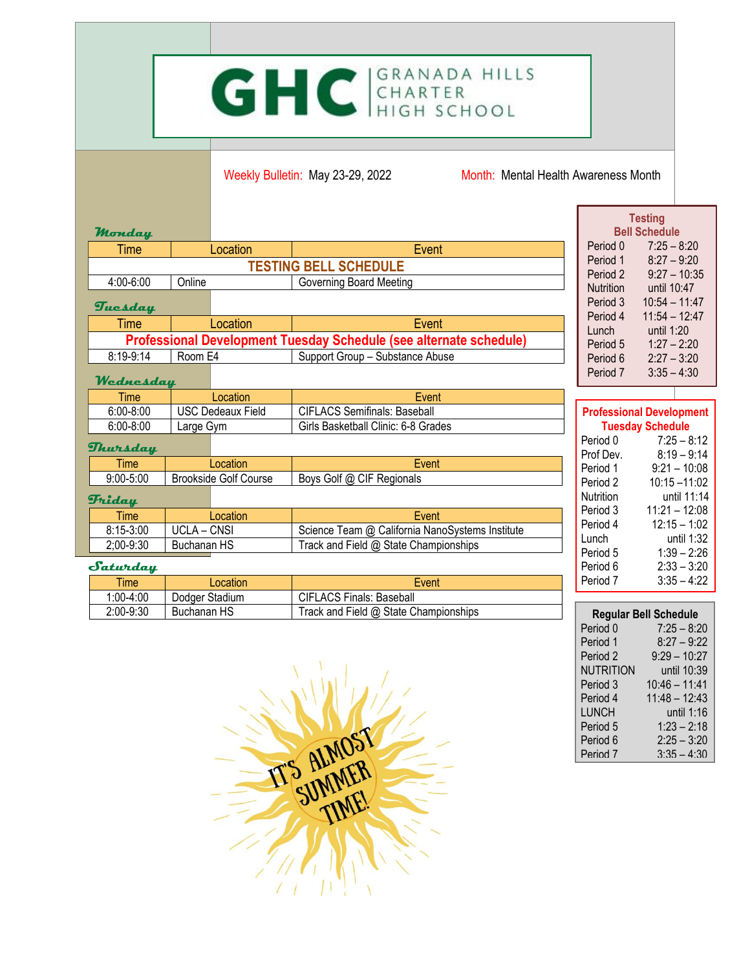## GHC GRANADA HILLS

Weekly Bulletin: May 23-29, 2022 Month: Mental Health Awareness Month

|                                                                    |                                           |                              |                                                 |                                 | <b>Testing</b>               |                                |               |
|--------------------------------------------------------------------|-------------------------------------------|------------------------------|-------------------------------------------------|---------------------------------|------------------------------|--------------------------------|---------------|
| Monday                                                             |                                           |                              |                                                 |                                 | <b>Bell Schedule</b>         |                                |               |
| Time                                                               |                                           | Location                     | Event                                           |                                 | Period 0                     | $7:25 - 8:20$                  |               |
| <b>TESTING BELL SCHEDULE</b>                                       |                                           |                              |                                                 |                                 | Period 1                     | $8:27 - 9:20$                  |               |
| 4:00-6:00                                                          | Online                                    |                              | Governing Board Meeting                         |                                 | Period 2<br><b>Nutrition</b> | $9:27 - 10:35$                 |               |
|                                                                    |                                           |                              |                                                 |                                 |                              | until 10:47<br>$10:54 - 11:47$ |               |
| Tuesday                                                            |                                           |                              |                                                 |                                 | Period 3<br>Period 4         | $11:54 - 12:47$                |               |
| Time                                                               |                                           | Location                     | Event                                           |                                 | Lunch                        | until 1:20                     |               |
| Professional Development Tuesday Schedule (see alternate schedule) |                                           |                              |                                                 |                                 | Period 5                     | $1:27 - 2:20$                  |               |
| 8:19-9:14                                                          | Room E4                                   |                              | Support Group - Substance Abuse                 |                                 | Period 6                     | $2:27 - 3:20$                  |               |
|                                                                    |                                           |                              |                                                 |                                 | Period 7                     | $3:35 - 4:30$                  |               |
| Wednesday                                                          |                                           |                              |                                                 |                                 |                              |                                |               |
| <b>Time</b>                                                        |                                           | Location                     | Event                                           |                                 |                              |                                |               |
|                                                                    | $6:00 - 8:00$<br><b>USC Dedeaux Field</b> |                              | <b>CIFLACS Semifinals: Baseball</b>             | <b>Professional Development</b> |                              |                                |               |
| $6:00 - 8:00$                                                      | Large Gym                                 |                              | Girls Basketball Clinic: 6-8 Grades             |                                 | <b>Tuesday Schedule</b>      |                                |               |
| Thursday                                                           |                                           |                              |                                                 |                                 | Period 0                     |                                | $7:25 - 8:12$ |
| <b>Time</b>                                                        |                                           | Location                     | Event                                           |                                 | Prof Dev.                    |                                | $8:19 - 9:14$ |
|                                                                    |                                           |                              |                                                 |                                 | Period 1                     | $9:21 - 10:08$                 |               |
| $9:00 - 5:00$                                                      |                                           | <b>Brookside Golf Course</b> | Boys Golf @ CIF Regionals                       |                                 | Period 2                     | $10:15 - 11:02$                |               |
| <b>Friday</b>                                                      |                                           |                              |                                                 |                                 | <b>Nutrition</b>             |                                | until 11:14   |
| <b>Time</b>                                                        |                                           | Location                     | Event                                           |                                 | Period 3                     | $11:21 - 12:08$                |               |
| 8:15-3:00                                                          | <b>UCLA - CNSI</b>                        |                              | Science Team @ California NanoSystems Institute |                                 | Period 4                     | $12:15 - 1:02$                 |               |
| Buchanan HS<br>2;00-9:30                                           |                                           |                              | Track and Field @ State Championships           |                                 | Lunch                        |                                | until 1:32    |
|                                                                    |                                           |                              |                                                 |                                 | Period 5                     |                                | $1:39 - 2:26$ |
| Saturday                                                           |                                           |                              |                                                 |                                 | Period 6                     |                                | $2:33 - 3:20$ |

| Time        | _ocation       | Event                                 |
|-------------|----------------|---------------------------------------|
| 1:00-4:00   | Dodger Stadium | <b>CIFLACS Finals: Baseball</b>       |
| $2:00-9:30$ | Buchanan HS    | Track and Field @ State Championships |

| <b>Regular Bell Schedule</b> |                 |  |  |  |  |
|------------------------------|-----------------|--|--|--|--|
| Period 0                     | $7:25 - 8:20$   |  |  |  |  |
| Period 1                     | $8:27 - 9:22$   |  |  |  |  |
| Period 2                     | $9:29 - 10:27$  |  |  |  |  |
| NUTRITION                    | until 10:39     |  |  |  |  |
| Period 3                     | $10:46 - 11:41$ |  |  |  |  |
| Period 4                     | $11:48 - 12:43$ |  |  |  |  |
| LUNCH                        | until 1:16      |  |  |  |  |
| Period 5                     | $1:23 - 2:18$   |  |  |  |  |
| Period <sub>6</sub>          | $2:25 - 3:20$   |  |  |  |  |
| Period 7                     | $3:35 - 4:30$   |  |  |  |  |

Period 7 3:35 – 4:22